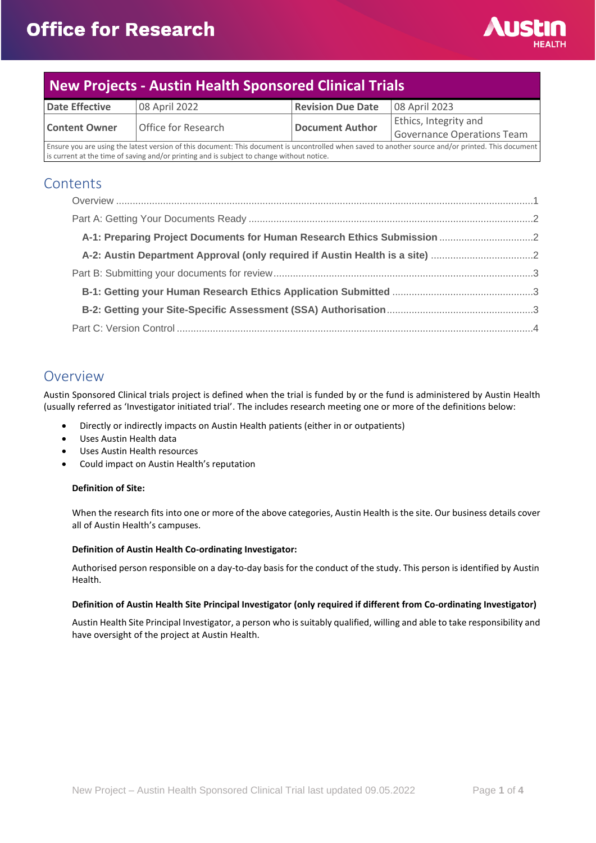

# **New Projects - Austin Health Sponsored Clinical Trials**

| <b>Date Effective</b>                                                                                                                              | 08 April 2022       | <b>Revision Due Date</b> | 08 April 2023              |
|----------------------------------------------------------------------------------------------------------------------------------------------------|---------------------|--------------------------|----------------------------|
| <b>Content Owner</b>                                                                                                                               | Office for Research | <b>Document Author</b>   | Ethics, Integrity and      |
|                                                                                                                                                    |                     |                          | Governance Operations Team |
| Ensure you are using the latest version of this document: This document is uncontrolled when saved to another source and/or printed. This document |                     |                          |                            |
| is current at the time of saving and/or printing and is subject to change without notice.                                                          |                     |                          |                            |

## **Contents**

| A-2: Austin Department Approval (only required if Austin Health is a site) |  |
|----------------------------------------------------------------------------|--|
|                                                                            |  |
|                                                                            |  |
|                                                                            |  |
|                                                                            |  |

## <span id="page-0-0"></span>Overview

Austin Sponsored Clinical trials project is defined when the trial is funded by or the fund is administered by Austin Health (usually referred as 'Investigator initiated trial'. The includes research meeting one or more of the definitions below:

- Directly or indirectly impacts on Austin Health patients (either in or outpatients)
- Uses Austin Health data
- Uses Austin Health resources
- Could impact on Austin Health's reputation

#### **Definition of Site:**

When the research fits into one or more of the above categories, Austin Health is the site. Our business details cover all of Austin Health's campuses.

#### **Definition of Austin Health Co-ordinating Investigator:**

Authorised person responsible on a day-to-day basis for the conduct of the study. This person is identified by Austin Health.

#### **Definition of Austin Health Site Principal Investigator (only required if different from Co-ordinating Investigator)**

Austin Health Site Principal Investigator, a person who is suitably qualified, willing and able to take responsibility and have oversight of the project at Austin Health.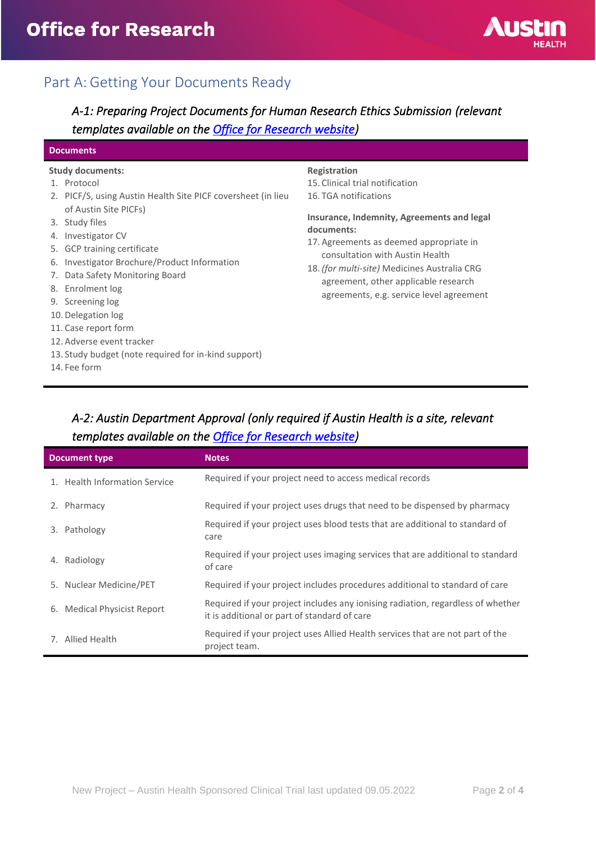

## <span id="page-1-0"></span>Part A: Getting Your Documents Ready

<span id="page-1-1"></span>*A-1: Preparing Project Documents for Human Research Ethics Submission (relevant templates available on the [Office for Research website\)](https://www.austin.org.au/resources-for-researchers/)* 

#### **Documents**

#### **Study documents:**

- 1. Protocol
- 2. PICF/S, using Austin Health Site PICF coversheet (in lieu of Austin Site PICFs)
- 3. Study files
- 4. Investigator CV
- 5. GCP training certificate
- 6. Investigator Brochure/Product Information
- 7. Data Safety Monitoring Board
- 8. Enrolment log
- 9. Screening log
- 10. Delegation log
- 11. Case report form
- 12. Adverse event tracker
- 13. Study budget (note required for in-kind support)
- 14. Fee form

#### **Registration**

15. Clinical trial notification 16. TGA notifications

#### **Insurance, Indemnity, Agreements and legal documents:**

- 17. Agreements as deemed appropriate in consultation with Austin Health
- 18. *(for multi-site)* Medicines Australia CRG agreement, other applicable research agreements, e.g. service level agreement

## <span id="page-1-2"></span>*A-2: Austin Department Approval (only required if Austin Health is a site, relevant templates available on the [Office for Research website\)](https://www.austin.org.au/resources-for-researchers/)*

| <b>Document type</b> |                               | <b>Notes</b>                                                                                                                    |
|----------------------|-------------------------------|---------------------------------------------------------------------------------------------------------------------------------|
|                      | 1. Health Information Service | Required if your project need to access medical records                                                                         |
| 2.                   | Pharmacy                      | Required if your project uses drugs that need to be dispensed by pharmacy                                                       |
| 3.                   | Pathology                     | Required if your project uses blood tests that are additional to standard of<br>care                                            |
| 4.                   | Radiology                     | Required if your project uses imaging services that are additional to standard<br>of care                                       |
|                      | 5. Nuclear Medicine/PET       | Required if your project includes procedures additional to standard of care                                                     |
|                      | 6. Medical Physicist Report   | Required if your project includes any ionising radiation, regardless of whether<br>it is additional or part of standard of care |
|                      | 7. Allied Health              | Required if your project uses Allied Health services that are not part of the<br>project team.                                  |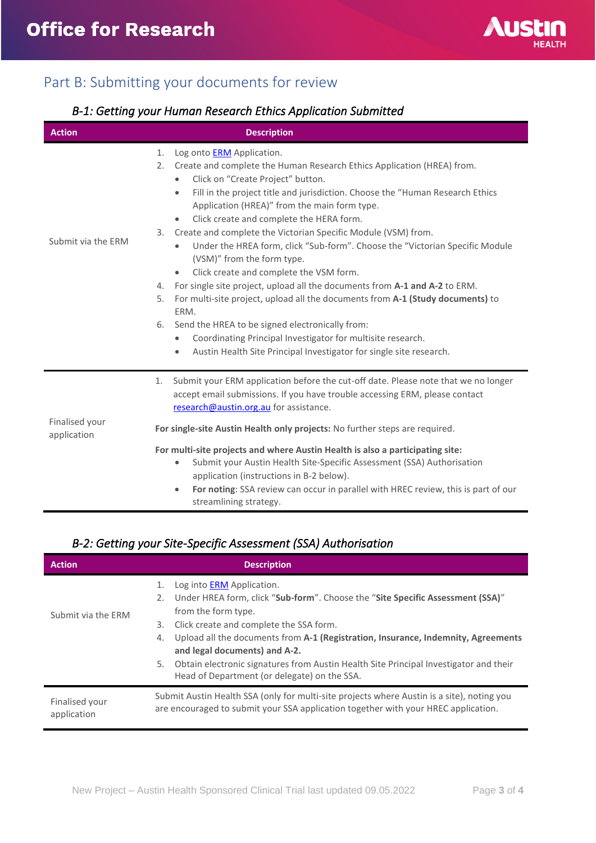

# <span id="page-2-0"></span>Part B: Submitting your documents for review

## <span id="page-2-1"></span>*B-1: Getting your Human Research Ethics Application Submitted*

| <b>Action</b>                 | <b>Description</b>                                                                                                                                                                                                                                                                                                                                                                                                                                                                                                                                                                                                                                                                                                                                                                                                                                                                                                                                                                                                                                     |  |
|-------------------------------|--------------------------------------------------------------------------------------------------------------------------------------------------------------------------------------------------------------------------------------------------------------------------------------------------------------------------------------------------------------------------------------------------------------------------------------------------------------------------------------------------------------------------------------------------------------------------------------------------------------------------------------------------------------------------------------------------------------------------------------------------------------------------------------------------------------------------------------------------------------------------------------------------------------------------------------------------------------------------------------------------------------------------------------------------------|--|
| Submit via the ERM            | Log onto <b>ERM</b> Application.<br>1.<br>Create and complete the Human Research Ethics Application (HREA) from.<br>2.<br>Click on "Create Project" button.<br>$\bullet$<br>Fill in the project title and jurisdiction. Choose the "Human Research Ethics<br>$\bullet$<br>Application (HREA)" from the main form type.<br>Click create and complete the HERA form.<br>$\bullet$<br>Create and complete the Victorian Specific Module (VSM) from.<br>3.<br>Under the HREA form, click "Sub-form". Choose the "Victorian Specific Module<br>$\bullet$<br>(VSM)" from the form type.<br>Click create and complete the VSM form.<br>$\bullet$<br>For single site project, upload all the documents from A-1 and A-2 to ERM.<br>4.<br>For multi-site project, upload all the documents from A-1 (Study documents) to<br>5.<br>ERM.<br>Send the HREA to be signed electronically from:<br>6.<br>Coordinating Principal Investigator for multisite research.<br>$\bullet$<br>Austin Health Site Principal Investigator for single site research.<br>$\bullet$ |  |
| Finalised your<br>application | Submit your ERM application before the cut-off date. Please note that we no longer<br>1.<br>accept email submissions. If you have trouble accessing ERM, please contact<br>research@austin.org.au for assistance.<br>For single-site Austin Health only projects: No further steps are required.<br>For multi-site projects and where Austin Health is also a participating site:<br>Submit your Austin Health Site-Specific Assessment (SSA) Authorisation<br>$\bullet$<br>application (instructions in B-2 below).<br>For noting: SSA review can occur in parallel with HREC review, this is part of our<br>$\bullet$<br>streamlining strategy.                                                                                                                                                                                                                                                                                                                                                                                                      |  |

## <span id="page-2-2"></span>*B-2: Getting your Site-Specific Assessment (SSA) Authorisation*

| <b>Action</b>                 | <b>Description</b>                                                                                                                                                                                                                                                                                                                 |  |
|-------------------------------|------------------------------------------------------------------------------------------------------------------------------------------------------------------------------------------------------------------------------------------------------------------------------------------------------------------------------------|--|
| Submit via the ERM            | Log into <b>ERM</b> Application.<br>1.<br>Under HREA form, click "Sub-form". Choose the "Site Specific Assessment (SSA)"<br>2.<br>from the form type.<br>Click create and complete the SSA form.<br>3.<br>Upload all the documents from A-1 (Registration, Insurance, Indemnity, Agreements<br>4.<br>and legal documents) and A-2. |  |
|                               | Obtain electronic signatures from Austin Health Site Principal Investigator and their<br>5.<br>Head of Department (or delegate) on the SSA.                                                                                                                                                                                        |  |
| Finalised your<br>application | Submit Austin Health SSA (only for multi-site projects where Austin is a site), noting you<br>are encouraged to submit your SSA application together with your HREC application.                                                                                                                                                   |  |